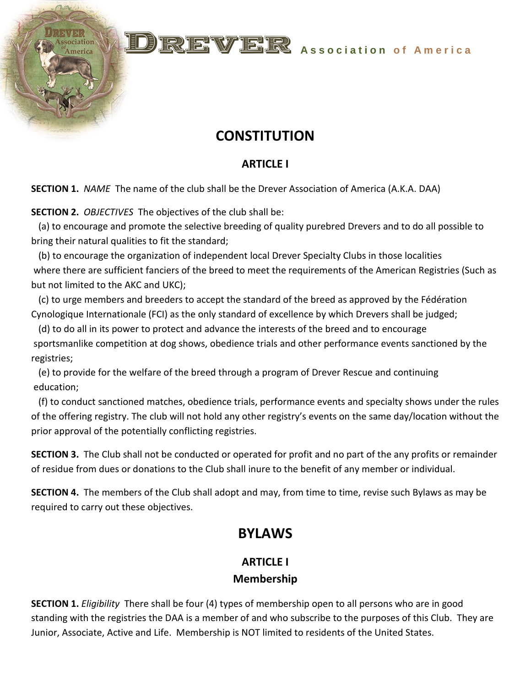# **E. WELES** Association of America

## **CONSTITUTION**

#### **ARTICLE I**

**SECTION 1.** *NAME* The name of the club shall be the Drever Association of America (A.K.A. DAA)

**SECTION 2.** *OBJECTIVES* The objectives of the club shall be:

 (a) to encourage and promote the selective breeding of quality purebred Drevers and to do all possible to bring their natural qualities to fit the standard;

 (b) to encourage the organization of independent local Drever Specialty Clubs in those localities where there are sufficient fanciers of the breed to meet the requirements of the American Registries (Such as but not limited to the AKC and UKC);

 (c) to urge members and breeders to accept the standard of the breed as approved by the Fédération Cynologique Internationale (FCI) as the only standard of excellence by which Drevers shall be judged;

 (d) to do all in its power to protect and advance the interests of the breed and to encourage sportsmanlike competition at dog shows, obedience trials and other performance events sanctioned by the registries;

 (e) to provide for the welfare of the breed through a program of Drever Rescue and continuing education;

 (f) to conduct sanctioned matches, obedience trials, performance events and specialty shows under the rules of the offering registry. The club will not hold any other registry's events on the same day/location without the prior approval of the potentially conflicting registries.

**SECTION 3.** The Club shall not be conducted or operated for profit and no part of the any profits or remainder of residue from dues or donations to the Club shall inure to the benefit of any member or individual.

**SECTION 4.** The members of the Club shall adopt and may, from time to time, revise such Bylaws as may be required to carry out these objectives.

## **BYLAWS**

#### **ARTICLE I Membership**

**SECTION 1.** *Eligibility* There shall be four (4) types of membership open to all persons who are in good standing with the registries the DAA is a member of and who subscribe to the purposes of this Club. They are Junior, Associate, Active and Life. Membership is NOT limited to residents of the United States.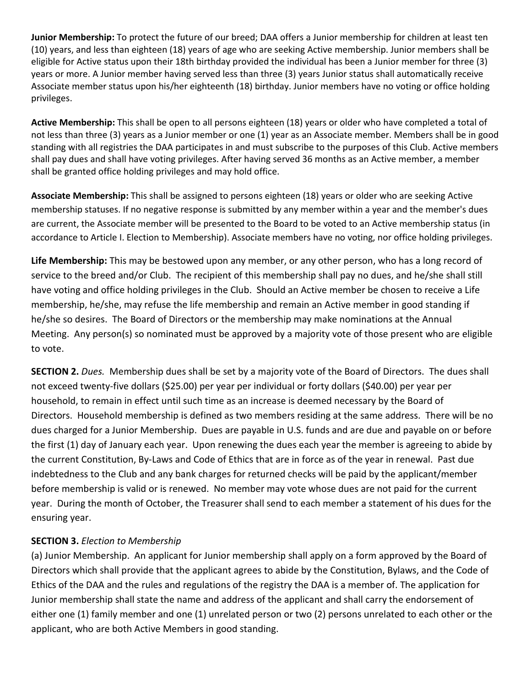**Junior Membership:** To protect the future of our breed; DAA offers a Junior membership for children at least ten (10) years, and less than eighteen (18) years of age who are seeking Active membership. Junior members shall be eligible for Active status upon their 18th birthday provided the individual has been a Junior member for three (3) years or more. A Junior member having served less than three (3) years Junior status shall automatically receive Associate member status upon his/her eighteenth (18) birthday. Junior members have no voting or office holding privileges.

**Active Membership:** This shall be open to all persons eighteen (18) years or older who have completed a total of not less than three (3) years as a Junior member or one (1) year as an Associate member. Members shall be in good standing with all registries the DAA participates in and must subscribe to the purposes of this Club. Active members shall pay dues and shall have voting privileges. After having served 36 months as an Active member, a member shall be granted office holding privileges and may hold office.

**Associate Membership:** This shall be assigned to persons eighteen (18) years or older who are seeking Active membership statuses. If no negative response is submitted by any member within a year and the member's dues are current, the Associate member will be presented to the Board to be voted to an Active membership status (in accordance to Article I. Election to Membership). Associate members have no voting, nor office holding privileges.

**Life Membership:** This may be bestowed upon any member, or any other person, who has a long record of service to the breed and/or Club. The recipient of this membership shall pay no dues, and he/she shall still have voting and office holding privileges in the Club. Should an Active member be chosen to receive a Life membership, he/she, may refuse the life membership and remain an Active member in good standing if he/she so desires. The Board of Directors or the membership may make nominations at the Annual Meeting. Any person(s) so nominated must be approved by a majority vote of those present who are eligible to vote.

**SECTION 2.** *Dues.* Membership dues shall be set by a majority vote of the Board of Directors. The dues shall not exceed twenty-five dollars (\$25.00) per year per individual or forty dollars (\$40.00) per year per household, to remain in effect until such time as an increase is deemed necessary by the Board of Directors. Household membership is defined as two members residing at the same address. There will be no dues charged for a Junior Membership. Dues are payable in U.S. funds and are due and payable on or before the first (1) day of January each year. Upon renewing the dues each year the member is agreeing to abide by the current Constitution, By-Laws and Code of Ethics that are in force as of the year in renewal. Past due indebtedness to the Club and any bank charges for returned checks will be paid by the applicant/member before membership is valid or is renewed. No member may vote whose dues are not paid for the current year. During the month of October, the Treasurer shall send to each member a statement of his dues for the ensuring year.

#### **SECTION 3.** *Election to Membership*

(a) Junior Membership. An applicant for Junior membership shall apply on a form approved by the Board of Directors which shall provide that the applicant agrees to abide by the Constitution, Bylaws, and the Code of Ethics of the DAA and the rules and regulations of the registry the DAA is a member of. The application for Junior membership shall state the name and address of the applicant and shall carry the endorsement of either one (1) family member and one (1) unrelated person or two (2) persons unrelated to each other or the applicant, who are both Active Members in good standing.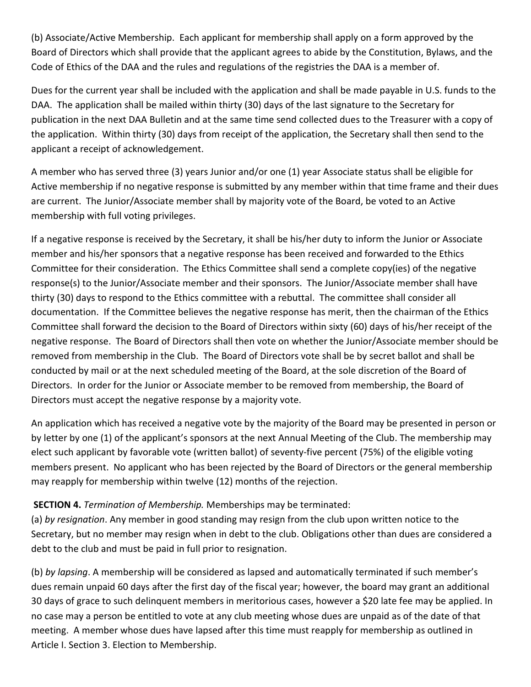(b) Associate/Active Membership. Each applicant for membership shall apply on a form approved by the Board of Directors which shall provide that the applicant agrees to abide by the Constitution, Bylaws, and the Code of Ethics of the DAA and the rules and regulations of the registries the DAA is a member of.

Dues for the current year shall be included with the application and shall be made payable in U.S. funds to the DAA. The application shall be mailed within thirty (30) days of the last signature to the Secretary for publication in the next DAA Bulletin and at the same time send collected dues to the Treasurer with a copy of the application. Within thirty (30) days from receipt of the application, the Secretary shall then send to the applicant a receipt of acknowledgement.

A member who has served three (3) years Junior and/or one (1) year Associate status shall be eligible for Active membership if no negative response is submitted by any member within that time frame and their dues are current. The Junior/Associate member shall by majority vote of the Board, be voted to an Active membership with full voting privileges.

If a negative response is received by the Secretary, it shall be his/her duty to inform the Junior or Associate member and his/her sponsors that a negative response has been received and forwarded to the Ethics Committee for their consideration. The Ethics Committee shall send a complete copy(ies) of the negative response(s) to the Junior/Associate member and their sponsors. The Junior/Associate member shall have thirty (30) days to respond to the Ethics committee with a rebuttal. The committee shall consider all documentation. If the Committee believes the negative response has merit, then the chairman of the Ethics Committee shall forward the decision to the Board of Directors within sixty (60) days of his/her receipt of the negative response. The Board of Directors shall then vote on whether the Junior/Associate member should be removed from membership in the Club. The Board of Directors vote shall be by secret ballot and shall be conducted by mail or at the next scheduled meeting of the Board, at the sole discretion of the Board of Directors. In order for the Junior or Associate member to be removed from membership, the Board of Directors must accept the negative response by a majority vote.

An application which has received a negative vote by the majority of the Board may be presented in person or by letter by one (1) of the applicant's sponsors at the next Annual Meeting of the Club. The membership may elect such applicant by favorable vote (written ballot) of seventy-five percent (75%) of the eligible voting members present. No applicant who has been rejected by the Board of Directors or the general membership may reapply for membership within twelve (12) months of the rejection.

#### **SECTION 4.** *Termination of Membership.* Memberships may be terminated:

(a) *by resignation*. Any member in good standing may resign from the club upon written notice to the Secretary, but no member may resign when in debt to the club. Obligations other than dues are considered a debt to the club and must be paid in full prior to resignation.

(b) *by lapsing*. A membership will be considered as lapsed and automatically terminated if such member's dues remain unpaid 60 days after the first day of the fiscal year; however, the board may grant an additional 30 days of grace to such delinquent members in meritorious cases, however a \$20 late fee may be applied. In no case may a person be entitled to vote at any club meeting whose dues are unpaid as of the date of that meeting. A member whose dues have lapsed after this time must reapply for membership as outlined in Article I. Section 3. Election to Membership.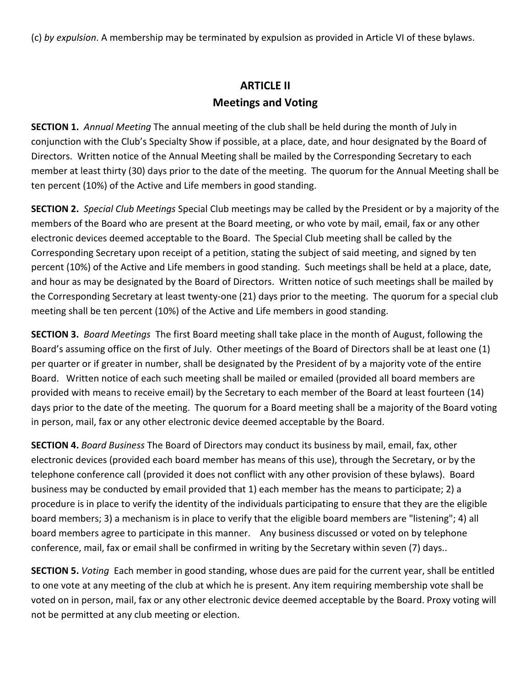(c) *by expulsion*. A membership may be terminated by expulsion as provided in Article VI of these bylaws.

## **ARTICLE II Meetings and Voting**

**SECTION 1.** *Annual Meeting* The annual meeting of the club shall be held during the month of July in conjunction with the Club's Specialty Show if possible, at a place, date, and hour designated by the Board of Directors. Written notice of the Annual Meeting shall be mailed by the Corresponding Secretary to each member at least thirty (30) days prior to the date of the meeting. The quorum for the Annual Meeting shall be ten percent (10%) of the Active and Life members in good standing.

**SECTION 2.** *Special Club Meetings* Special Club meetings may be called by the President or by a majority of the members of the Board who are present at the Board meeting, or who vote by mail, email, fax or any other electronic devices deemed acceptable to the Board. The Special Club meeting shall be called by the Corresponding Secretary upon receipt of a petition, stating the subject of said meeting, and signed by ten percent (10%) of the Active and Life members in good standing. Such meetings shall be held at a place, date, and hour as may be designated by the Board of Directors. Written notice of such meetings shall be mailed by the Corresponding Secretary at least twenty-one (21) days prior to the meeting. The quorum for a special club meeting shall be ten percent (10%) of the Active and Life members in good standing.

**SECTION 3.** *Board Meetings* The first Board meeting shall take place in the month of August, following the Board's assuming office on the first of July. Other meetings of the Board of Directors shall be at least one (1) per quarter or if greater in number, shall be designated by the President of by a majority vote of the entire Board. Written notice of each such meeting shall be mailed or emailed (provided all board members are provided with means to receive email) by the Secretary to each member of the Board at least fourteen (14) days prior to the date of the meeting. The quorum for a Board meeting shall be a majority of the Board voting in person, mail, fax or any other electronic device deemed acceptable by the Board.

**SECTION 4.** *Board Business* The Board of Directors may conduct its business by mail, email, fax, other electronic devices (provided each board member has means of this use), through the Secretary, or by the telephone conference call (provided it does not conflict with any other provision of these bylaws). Board business may be conducted by email provided that 1) each member has the means to participate; 2) a procedure is in place to verify the identity of the individuals participating to ensure that they are the eligible board members; 3) a mechanism is in place to verify that the eligible board members are "listening"; 4) all board members agree to participate in this manner. Any business discussed or voted on by telephone conference, mail, fax or email shall be confirmed in writing by the Secretary within seven (7) days..

**SECTION 5.** *Voting* Each member in good standing, whose dues are paid for the current year, shall be entitled to one vote at any meeting of the club at which he is present. Any item requiring membership vote shall be voted on in person, mail, fax or any other electronic device deemed acceptable by the Board. Proxy voting will not be permitted at any club meeting or election.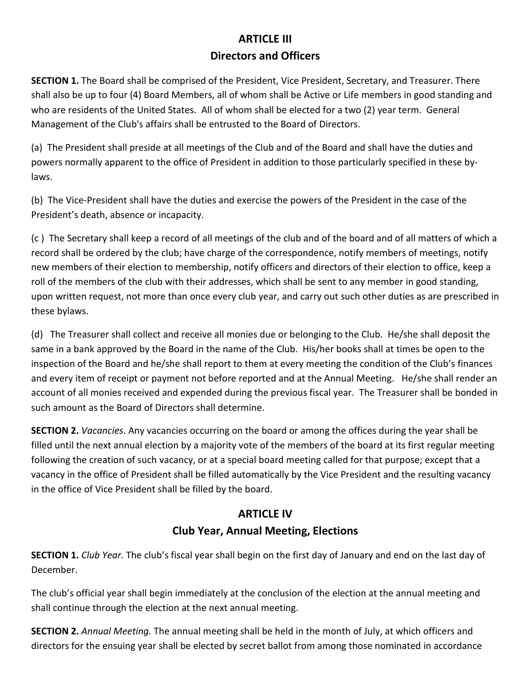## **ARTICLE III Directors and Officers**

**SECTION 1.** The Board shall be comprised of the President, Vice President, Secretary, and Treasurer. There shall also be up to four (4) Board Members, all of whom shall be Active or Life members in good standing and who are residents of the United States. All of whom shall be elected for a two (2) year term. General Management of the Club's affairs shall be entrusted to the Board of Directors.

(a) The President shall preside at all meetings of the Club and of the Board and shall have the duties and powers normally apparent to the office of President in addition to those particularly specified in these bylaws.

(b) The Vice-President shall have the duties and exercise the powers of the President in the case of the President's death, absence or incapacity.

(c ) The Secretary shall keep a record of all meetings of the club and of the board and of all matters of which a record shall be ordered by the club; have charge of the correspondence, notify members of meetings, notify new members of their election to membership, notify officers and directors of their election to office, keep a roll of the members of the club with their addresses, which shall be sent to any member in good standing, upon written request, not more than once every club year, and carry out such other duties as are prescribed in these bylaws.

(d) The Treasurer shall collect and receive all monies due or belonging to the Club. He/she shall deposit the same in a bank approved by the Board in the name of the Club. His/her books shall at times be open to the inspection of the Board and he/she shall report to them at every meeting the condition of the Club's finances and every item of receipt or payment not before reported and at the Annual Meeting. He/she shall render an account of all monies received and expended during the previous fiscal year. The Treasurer shall be bonded in such amount as the Board of Directors shall determine.

**SECTION 2.** *Vacancies*. Any vacancies occurring on the board or among the offices during the year shall be filled until the next annual election by a majority vote of the members of the board at its first regular meeting following the creation of such vacancy, or at a special board meeting called for that purpose; except that a vacancy in the office of President shall be filled automatically by the Vice President and the resulting vacancy in the office of Vice President shall be filled by the board.

## **ARTICLE IV Club Year, Annual Meeting, Elections**

**SECTION 1.** *Club Year.* The club's fiscal year shall begin on the first day of January and end on the last day of December.

The club's official year shall begin immediately at the conclusion of the election at the annual meeting and shall continue through the election at the next annual meeting.

**SECTION 2.** *Annual Meeting.* The annual meeting shall be held in the month of July, at which officers and directors for the ensuing year shall be elected by secret ballot from among those nominated in accordance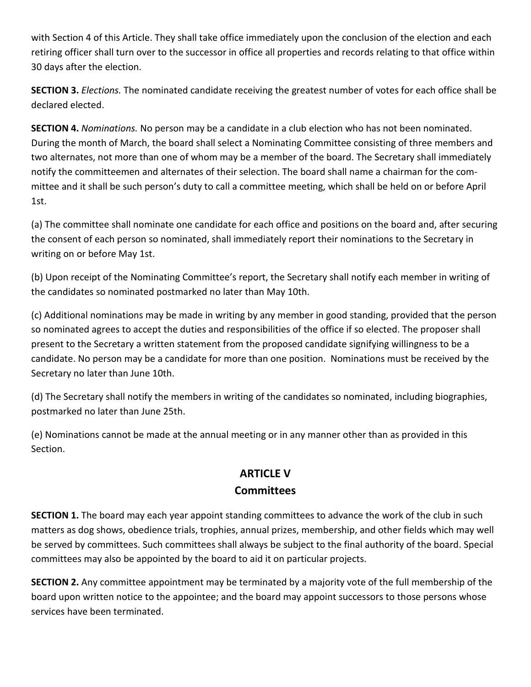with Section 4 of this Article. They shall take office immediately upon the conclusion of the election and each retiring officer shall turn over to the successor in office all properties and records relating to that office within 30 days after the election.

**SECTION 3.** *Elections.* The nominated candidate receiving the greatest number of votes for each office shall be declared elected.

**SECTION 4.** *Nominations.* No person may be a candidate in a club election who has not been nominated. During the month of March, the board shall select a Nominating Committee consisting of three members and two alternates, not more than one of whom may be a member of the board. The Secretary shall immediately notify the committeemen and alternates of their selection. The board shall name a chairman for the committee and it shall be such person's duty to call a committee meeting, which shall be held on or before April 1st.

(a) The committee shall nominate one candidate for each office and positions on the board and, after securing the consent of each person so nominated, shall immediately report their nominations to the Secretary in writing on or before May 1st.

(b) Upon receipt of the Nominating Committee's report, the Secretary shall notify each member in writing of the candidates so nominated postmarked no later than May 10th.

(c) Additional nominations may be made in writing by any member in good standing, provided that the person so nominated agrees to accept the duties and responsibilities of the office if so elected. The proposer shall present to the Secretary a written statement from the proposed candidate signifying willingness to be a candidate. No person may be a candidate for more than one position. Nominations must be received by the Secretary no later than June 10th.

(d) The Secretary shall notify the members in writing of the candidates so nominated, including biographies, postmarked no later than June 25th.

(e) Nominations cannot be made at the annual meeting or in any manner other than as provided in this Section.

#### **ARTICLE V Committees**

**SECTION 1.** The board may each year appoint standing committees to advance the work of the club in such matters as dog shows, obedience trials, trophies, annual prizes, membership, and other fields which may well be served by committees. Such committees shall always be subject to the final authority of the board. Special committees may also be appointed by the board to aid it on particular projects.

**SECTION 2.** Any committee appointment may be terminated by a majority vote of the full membership of the board upon written notice to the appointee; and the board may appoint successors to those persons whose services have been terminated.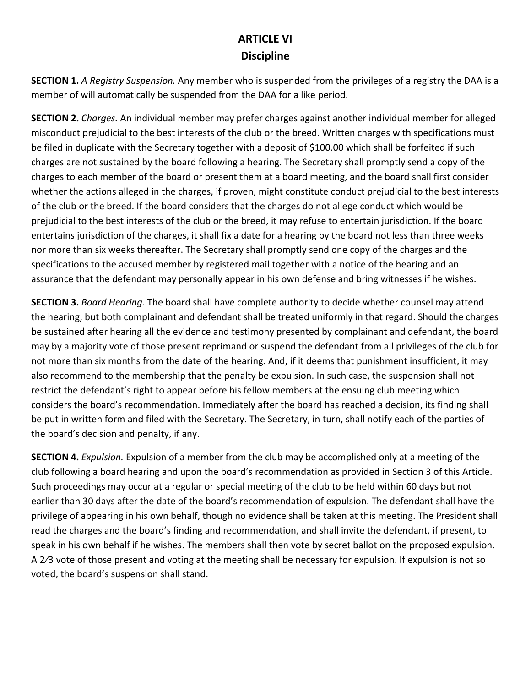#### **ARTICLE VI Discipline**

**SECTION 1.** *A Registry Suspension.* Any member who is suspended from the privileges of a registry the DAA is a member of will automatically be suspended from the DAA for a like period.

**SECTION 2.** *Charges.* An individual member may prefer charges against another individual member for alleged misconduct prejudicial to the best interests of the club or the breed. Written charges with specifications must be filed in duplicate with the Secretary together with a deposit of \$100.00 which shall be forfeited if such charges are not sustained by the board following a hearing. The Secretary shall promptly send a copy of the charges to each member of the board or present them at a board meeting, and the board shall first consider whether the actions alleged in the charges, if proven, might constitute conduct prejudicial to the best interests of the club or the breed. If the board considers that the charges do not allege conduct which would be prejudicial to the best interests of the club or the breed, it may refuse to entertain jurisdiction. If the board entertains jurisdiction of the charges, it shall fix a date for a hearing by the board not less than three weeks nor more than six weeks thereafter. The Secretary shall promptly send one copy of the charges and the specifications to the accused member by registered mail together with a notice of the hearing and an assurance that the defendant may personally appear in his own defense and bring witnesses if he wishes.

**SECTION 3.** *Board Hearing.* The board shall have complete authority to decide whether counsel may attend the hearing, but both complainant and defendant shall be treated uniformly in that regard. Should the charges be sustained after hearing all the evidence and testimony presented by complainant and defendant, the board may by a majority vote of those present reprimand or suspend the defendant from all privileges of the club for not more than six months from the date of the hearing. And, if it deems that punishment insufficient, it may also recommend to the membership that the penalty be expulsion. In such case, the suspension shall not restrict the defendant's right to appear before his fellow members at the ensuing club meeting which considers the board's recommendation. Immediately after the board has reached a decision, its finding shall be put in written form and filed with the Secretary. The Secretary, in turn, shall notify each of the parties of the board's decision and penalty, if any.

**SECTION 4.** *Expulsion.* Expulsion of a member from the club may be accomplished only at a meeting of the club following a board hearing and upon the board's recommendation as provided in Section 3 of this Article. Such proceedings may occur at a regular or special meeting of the club to be held within 60 days but not earlier than 30 days after the date of the board's recommendation of expulsion. The defendant shall have the privilege of appearing in his own behalf, though no evidence shall be taken at this meeting. The President shall read the charges and the board's finding and recommendation, and shall invite the defendant, if present, to speak in his own behalf if he wishes. The members shall then vote by secret ballot on the proposed expulsion. A 2⁄3 vote of those present and voting at the meeting shall be necessary for expulsion. If expulsion is not so voted, the board's suspension shall stand.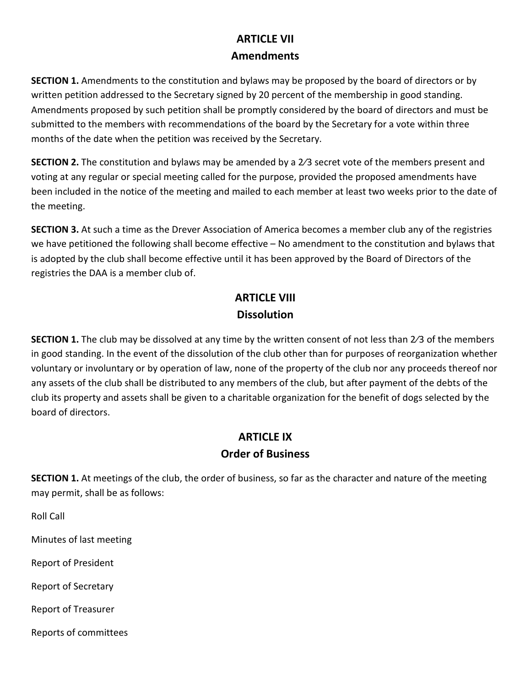#### **ARTICLE VII Amendments**

**SECTION 1.** Amendments to the constitution and bylaws may be proposed by the board of directors or by written petition addressed to the Secretary signed by 20 percent of the membership in good standing. Amendments proposed by such petition shall be promptly considered by the board of directors and must be submitted to the members with recommendations of the board by the Secretary for a vote within three months of the date when the petition was received by the Secretary.

**SECTION 2.** The constitution and bylaws may be amended by a 2⁄3 secret vote of the members present and voting at any regular or special meeting called for the purpose, provided the proposed amendments have been included in the notice of the meeting and mailed to each member at least two weeks prior to the date of the meeting.

**SECTION 3.** At such a time as the Drever Association of America becomes a member club any of the registries we have petitioned the following shall become effective – No amendment to the constitution and bylaws that is adopted by the club shall become effective until it has been approved by the Board of Directors of the registries the DAA is a member club of.

## **ARTICLE VIII Dissolution**

**SECTION 1.** The club may be dissolved at any time by the written consent of not less than 2⁄3 of the members in good standing. In the event of the dissolution of the club other than for purposes of reorganization whether voluntary or involuntary or by operation of law, none of the property of the club nor any proceeds thereof nor any assets of the club shall be distributed to any members of the club, but after payment of the debts of the club its property and assets shall be given to a charitable organization for the benefit of dogs selected by the board of directors.

## **ARTICLE IX**

#### **Order of Business**

**SECTION 1.** At meetings of the club, the order of business, so far as the character and nature of the meeting may permit, shall be as follows:

Roll Call

Minutes of last meeting

Report of President

Report of Secretary

Report of Treasurer

Reports of committees